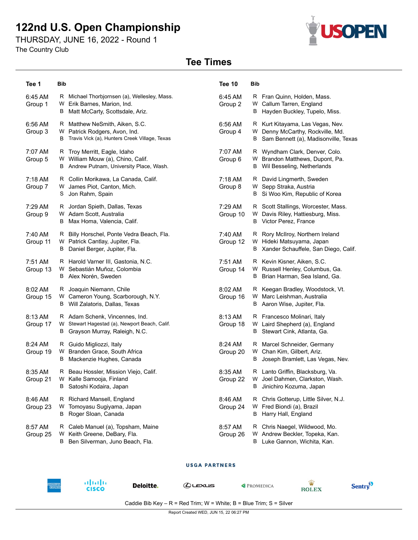# **122nd U.S. Open Championship**

THURSDAY, JUNE 16, 2022 - Round 1

The Country Club



## **Tee Times**

| Tee 1               | <b>Bib</b>                                                                                                            | <b>Tee 10</b>       | Bib                                                                                                                  |
|---------------------|-----------------------------------------------------------------------------------------------------------------------|---------------------|----------------------------------------------------------------------------------------------------------------------|
| 6:45 AM<br>Group 1  | R Michael Thorbjornsen (a), Wellesley, Mass.<br>W Erik Barnes, Marion, Ind.<br>Matt McCarty, Scottsdale, Ariz.<br>В   | 6:45 AM<br>Group 2  | R Fran Quinn, Holden, Mass.<br>W Callum Tarren, England<br>Hayden Buckley, Tupelo, Miss.<br>В                        |
| 6:56 AM<br>Group 3  | R Matthew NeSmith, Aiken, S.C.<br>W Patrick Rodgers, Avon, Ind.<br>Travis Vick (a), Hunters Creek Village, Texas<br>B | 6:56 AM<br>Group 4  | R Kurt Kitayama, Las Vegas, Nev.<br>Denny McCarthy, Rockville, Md.<br>W<br>Sam Bennett (a), Madisonville, Texas<br>B |
| 7:07 AM<br>Group 5  | R Troy Merritt, Eagle, Idaho<br>W William Mouw (a), Chino, Calif.<br>Andrew Putnam, University Place, Wash.<br>В      | 7:07 AM<br>Group 6  | R Wyndham Clark, Denver, Colo.<br>W Brandon Matthews, Dupont, Pa.<br><b>B</b> Wil Besseling, Netherlands             |
| 7:18 AM<br>Group 7  | R Collin Morikawa, La Canada, Calif.<br>W James Piot, Canton, Mich.<br>Jon Rahm, Spain<br>S                           | 7:18 AM<br>Group 8  | R David Lingmerth, Sweden<br>W Sepp Straka, Austria<br>Si Woo Kim, Republic of Korea<br>В                            |
| 7:29 AM<br>Group 9  | R Jordan Spieth, Dallas, Texas<br>W Adam Scott, Australia<br>Max Homa, Valencia, Calif.<br>B                          | 7:29 AM<br>Group 10 | R Scott Stallings, Worcester, Mass.<br>W Davis Riley, Hattiesburg, Miss.<br>B Victor Perez, France                   |
| 7:40 AM<br>Group 11 | R Billy Horschel, Ponte Vedra Beach, Fla.<br>W Patrick Cantlay, Jupiter, Fla.<br>Daniel Berger, Jupiter, Fla.<br>B    | 7:40 AM<br>Group 12 | R Rory McIlroy, Northern Ireland<br>W Hideki Matsuyama, Japan<br>B Xander Schauffele, San Diego, Calif.              |
| 7:51 AM<br>Group 13 | R Harold Varner III, Gastonia, N.C.<br>W Sebastián Muñoz, Colombia<br>B Alex Norén, Sweden                            | 7:51 AM<br>Group 14 | R Kevin Kisner, Aiken, S.C.<br>W Russell Henley, Columbus, Ga.<br>B Brian Harman, Sea Island, Ga.                    |
| 8:02 AM<br>Group 15 | R Joaquin Niemann, Chile<br>W Cameron Young, Scarborough, N.Y.<br>Will Zalatoris, Dallas, Texas<br>B                  | 8:02 AM<br>Group 16 | R Keegan Bradley, Woodstock, Vt.<br>W Marc Leishman, Australia<br>B Aaron Wise, Jupiter, Fla.                        |
| 8:13 AM<br>Group 17 | R Adam Schenk, Vincennes, Ind.<br>W Stewart Hagestad (a), Newport Beach, Calif.<br>Grayson Murray, Raleigh, N.C.<br>В | 8:13 AM<br>Group 18 | R Francesco Molinari, Italy<br>W Laird Shepherd (a), England<br>Stewart Cink, Atlanta, Ga.<br>В                      |
| 8:24 AM<br>Group 19 | R Guido Migliozzi, Italy<br>W Branden Grace, South Africa<br>Mackenzie Hughes, Canada<br>B                            | 8:24 AM<br>Group 20 | R Marcel Schneider, Germany<br>W Chan Kim, Gilbert, Ariz.<br>Joseph Bramlett, Las Vegas, Nev.<br>В                   |
| 8:35 AM<br>Group 21 | R Beau Hossler, Mission Viejo, Calif.<br>W Kalle Samooja, Finland<br>В<br>Satoshi Kodaira, Japan                      | 8:35 AM<br>Group 22 | R Lanto Griffin, Blacksburg, Va.<br>W Joel Dahmen, Clarkston, Wash.<br>Jinichiro Kozuma, Japan<br>B                  |
| 8:46 AM<br>Group 23 | Richard Mansell, England<br>R<br>Tomoyasu Sugiyama, Japan<br>W<br>Roger Sloan, Canada<br>В                            | 8:46 AM<br>Group 24 | R Chris Gotterup, Little Silver, N.J.<br>W Fred Biondi (a), Brazil<br>Harry Hall, England<br>B                       |
| 8:57 AM<br>Group 25 | Caleb Manuel (a), Topsham, Maine<br>R<br>Keith Greene, DeBary, Fla.<br>W<br>Ben Silverman, Juno Beach, Fla.<br>В      | 8:57 AM<br>Group 26 | R Chris Naegel, Wildwood, Mo.<br>Andrew Beckler, Topeka, Kan.<br>W<br>Luke Gannon, Wichita, Kan.<br>В                |

#### **USGA PARTNERS**



Deloitte.

abah.<br>Cisco

 $Q$ LEXUS

PROMEDICA



Caddie Bib Key -  $R$  = Red Trim; W = White; B = Blue Trim; S = Silver